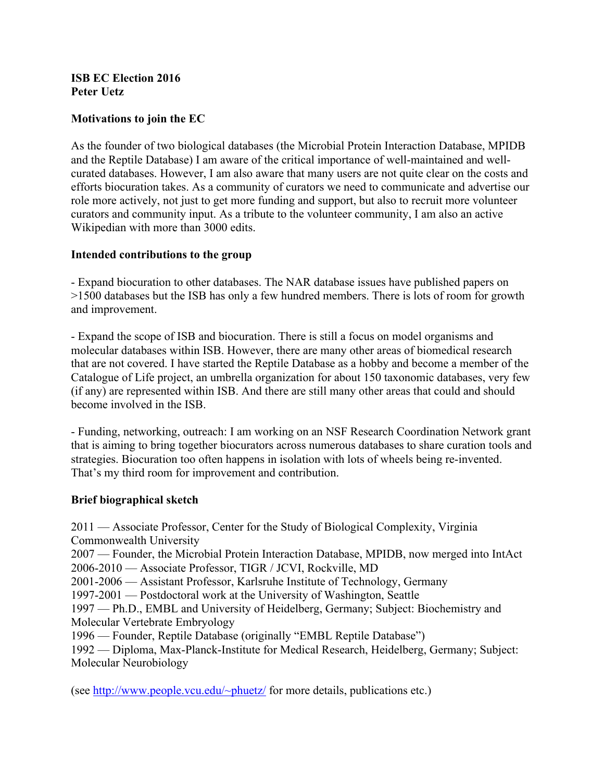## **ISB EC Election 2016 Peter Uetz**

# **Motivations to join the EC**

As the founder of two biological databases (the Microbial Protein Interaction Database, MPIDB and the Reptile Database) I am aware of the critical importance of well-maintained and wellcurated databases. However, I am also aware that many users are not quite clear on the costs and efforts biocuration takes. As a community of curators we need to communicate and advertise our role more actively, not just to get more funding and support, but also to recruit more volunteer curators and community input. As a tribute to the volunteer community, I am also an active Wikipedian with more than 3000 edits.

## **Intended contributions to the group**

- Expand biocuration to other databases. The NAR database issues have published papers on >1500 databases but the ISB has only a few hundred members. There is lots of room for growth and improvement.

- Expand the scope of ISB and biocuration. There is still a focus on model organisms and molecular databases within ISB. However, there are many other areas of biomedical research that are not covered. I have started the Reptile Database as a hobby and become a member of the Catalogue of Life project, an umbrella organization for about 150 taxonomic databases, very few (if any) are represented within ISB. And there are still many other areas that could and should become involved in the ISB.

- Funding, networking, outreach: I am working on an NSF Research Coordination Network grant that is aiming to bring together biocurators across numerous databases to share curation tools and strategies. Biocuration too often happens in isolation with lots of wheels being re-invented. That's my third room for improvement and contribution.

#### **Brief biographical sketch**

2011 — Associate Professor, Center for the Study of Biological Complexity, Virginia Commonwealth University

2007 — Founder, the Microbial Protein Interaction Database, MPIDB, now merged into IntAct 2006-2010 — Associate Professor, TIGR / JCVI, Rockville, MD

2001-2006 — Assistant Professor, Karlsruhe Institute of Technology, Germany

1997-2001 — Postdoctoral work at the University of Washington, Seattle

1997 — Ph.D., EMBL and University of Heidelberg, Germany; Subject: Biochemistry and Molecular Vertebrate Embryology

1996 — Founder, Reptile Database (originally "EMBL Reptile Database")

1992 — Diploma, Max-Planck-Institute for Medical Research, Heidelberg, Germany; Subject: Molecular Neurobiology

(see http://www.people.vcu.edu/~phuetz/ for more details, publications etc.)